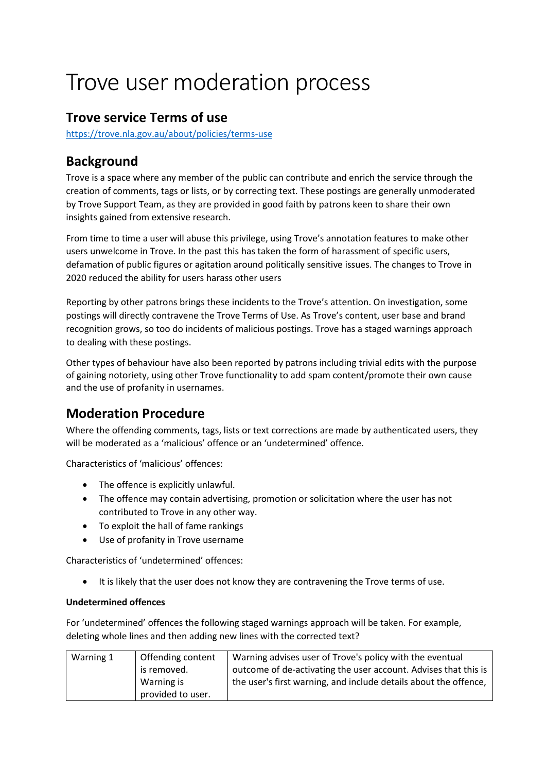# Trove user moderation process

## **Trove service Terms of use**

<https://trove.nla.gov.au/about/policies/terms-use>

# **Background**

Trove is a space where any member of the public can contribute and enrich the service through the creation of comments, tags or lists, or by correcting text. These postings are generally unmoderated by Trove Support Team, as they are provided in good faith by patrons keen to share their own insights gained from extensive research.

From time to time a user will abuse this privilege, using Trove's annotation features to make other users unwelcome in Trove. In the past this has taken the form of harassment of specific users, defamation of public figures or agitation around politically sensitive issues. The changes to Trove in 2020 reduced the ability for users harass other users

Reporting by other patrons brings these incidents to the Trove's attention. On investigation, some postings will directly contravene the Trove Terms of Use. As Trove's content, user base and brand recognition grows, so too do incidents of malicious postings. Trove has a staged warnings approach to dealing with these postings.

Other types of behaviour have also been reported by patrons including trivial edits with the purpose of gaining notoriety, using other Trove functionality to add spam content/promote their own cause and the use of profanity in usernames.

# **Moderation Procedure**

Where the offending comments, tags, lists or text corrections are made by authenticated users, they will be moderated as a 'malicious' offence or an 'undetermined' offence.

Characteristics of 'malicious' offences:

- The offence is explicitly unlawful.
- The offence may contain advertising, promotion or solicitation where the user has not contributed to Trove in any other way.
- To exploit the hall of fame rankings
- Use of profanity in Trove username

Characteristics of 'undetermined' offences:

• It is likely that the user does not know they are contravening the Trove terms of use.

## **Undetermined offences**

For 'undetermined' offences the following staged warnings approach will be taken. For example, deleting whole lines and then adding new lines with the corrected text?

| Warning 1 | Offending content | Warning advises user of Trove's policy with the eventual         |
|-----------|-------------------|------------------------------------------------------------------|
|           | is removed.       | outcome of de-activating the user account. Advises that this is  |
|           | Warning is        | the user's first warning, and include details about the offence, |
|           | provided to user. |                                                                  |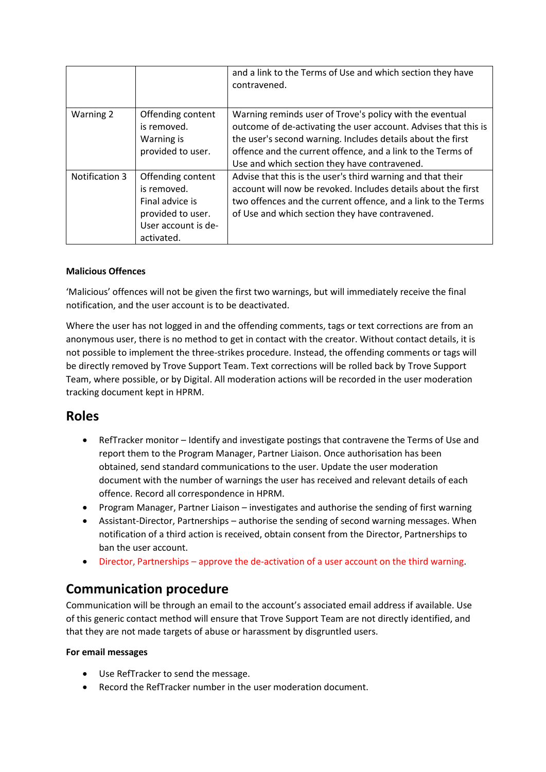|                |                                                                                                               | and a link to the Terms of Use and which section they have<br>contravened.                                                                                                                                                                                                                                |
|----------------|---------------------------------------------------------------------------------------------------------------|-----------------------------------------------------------------------------------------------------------------------------------------------------------------------------------------------------------------------------------------------------------------------------------------------------------|
| Warning 2      | Offending content<br>is removed.<br>Warning is<br>provided to user.                                           | Warning reminds user of Trove's policy with the eventual<br>outcome of de-activating the user account. Advises that this is<br>the user's second warning. Includes details about the first<br>offence and the current offence, and a link to the Terms of<br>Use and which section they have contravened. |
| Notification 3 | Offending content<br>is removed.<br>Final advice is<br>provided to user.<br>User account is de-<br>activated. | Advise that this is the user's third warning and that their<br>account will now be revoked. Includes details about the first<br>two offences and the current offence, and a link to the Terms<br>of Use and which section they have contravened.                                                          |

#### **Malicious Offences**

'Malicious' offences will not be given the first two warnings, but will immediately receive the final notification, and the user account is to be deactivated.

Where the user has not logged in and the offending comments, tags or text corrections are from an anonymous user, there is no method to get in contact with the creator. Without contact details, it is not possible to implement the three-strikes procedure. Instead, the offending comments or tags will be directly removed by Trove Support Team. Text corrections will be rolled back by Trove Support Team, where possible, or by Digital. All moderation actions will be recorded in the user moderation tracking document kept in HPRM.

## **Roles**

- RefTracker monitor Identify and investigate postings that contravene the Terms of Use and report them to the Program Manager, Partner Liaison. Once authorisation has been obtained, send standard communications to the user. Update the user moderation document with the number of warnings the user has received and relevant details of each offence. Record all correspondence in HPRM.
- Program Manager, Partner Liaison investigates and authorise the sending of first warning
- Assistant-Director, Partnerships authorise the sending of second warning messages. When notification of a third action is received, obtain consent from the Director, Partnerships to ban the user account.
- Director, Partnerships approve the de-activation of a user account on the third warning.

## **Communication procedure**

Communication will be through an email to the account's associated email address if available. Use of this generic contact method will ensure that Trove Support Team are not directly identified, and that they are not made targets of abuse or harassment by disgruntled users.

#### **For email messages**

- Use RefTracker to send the message.
- Record the RefTracker number in the user moderation document.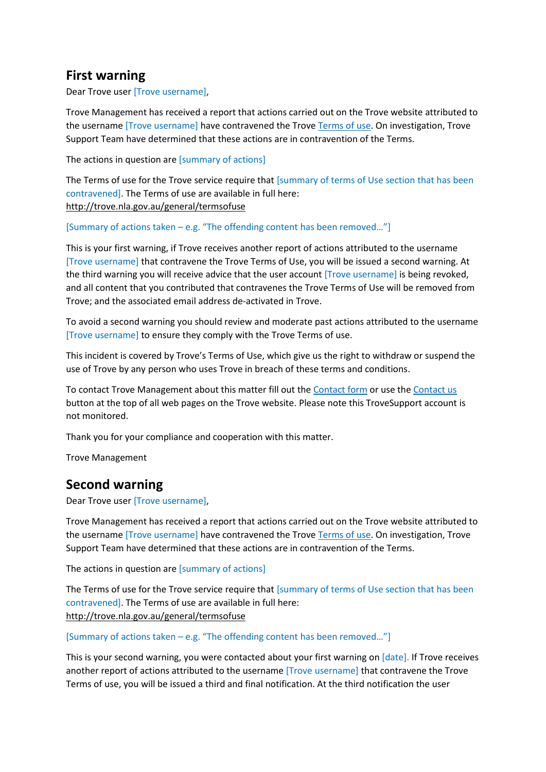## **First warning**

Dear Trove user [Trove username],

Trove Management has received a report that actions carried out on the Trove website attributed to the username [Trove username] have contravened the Trove [Terms of use.](http://trove.nla.gov.au/general/termsofuse) On investigation, Trove Support Team have determined that these actions are in contravention of the Terms.

The actions in question are [summary of actions]

The Terms of use for the Trove service require that [summary of terms of Use section that has been contravened]. The Terms of use are available in full here: <http://trove.nla.gov.au/general/termsofuse>

[Summary of actions taken – e.g. "The offending content has been removed…"]

This is your first warning, if Trove receives another report of actions attributed to the username [Trove username] that contravene the Trove Terms of Use, you will be issued a second warning. At the third warning you will receive advice that the user account [Trove username] is being revoked, and all content that you contributed that contravenes the Trove Terms of Use will be removed from Trove; and the associated email address de-activated in Trove.

To avoid a second warning you should review and moderate past actions attributed to the username [Trove username] to ensure they comply with the Trove Terms of use.

This incident is covered by Trove's Terms of Use, which give us the right to withdraw or suspend the use of Trove by any person who uses Trove in breach of these terms and conditions.

To contact Trove Management about this matter fill out th[e Contact form](http://trove.nla.gov.au/contact) or use the [Contact us](http://trove.nla.gov.au/contact) button at the top of all web pages on the Trove website. Please note this TroveSupport account is not monitored.

Thank you for your compliance and cooperation with this matter.

Trove Management

## **Second warning**

Dear Trove user [Trove username],

Trove Management has received a report that actions carried out on the Trove website attributed to the username [Trove username] have contravened the Trove [Terms of use.](http://trove.nla.gov.au/general/termsofuse) On investigation, Trove Support Team have determined that these actions are in contravention of the Terms.

The actions in question are [summary of actions]

The Terms of use for the Trove service require that [summary of terms of Use section that has been contravened]. The Terms of use are available in full here: <http://trove.nla.gov.au/general/termsofuse>

[Summary of actions taken – e.g. "The offending content has been removed…"]

This is your second warning, you were contacted about your first warning on [date]. If Trove receives another report of actions attributed to the username [Trove username] that contravene the Trove Terms of use, you will be issued a third and final notification. At the third notification the user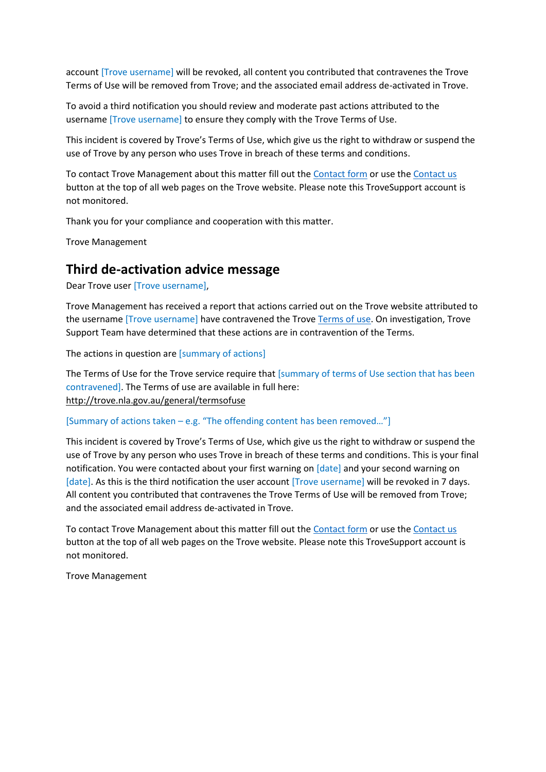account [Trove username] will be revoked, all content you contributed that contravenes the Trove Terms of Use will be removed from Trove; and the associated email address de-activated in Trove.

To avoid a third notification you should review and moderate past actions attributed to the username [Trove username] to ensure they comply with the Trove Terms of Use.

This incident is covered by Trove's Terms of Use, which give us the right to withdraw or suspend the use of Trove by any person who uses Trove in breach of these terms and conditions.

To contact Trove Management about this matter fill out th[e Contact form](http://trove.nla.gov.au/contact) or use the [Contact us](http://trove.nla.gov.au/contact) button at the top of all web pages on the Trove website. Please note this TroveSupport account is not monitored.

Thank you for your compliance and cooperation with this matter.

Trove Management

## **Third de-activation advice message**

Dear Trove user [Trove username],

Trove Management has received a report that actions carried out on the Trove website attributed to the username [Trove username] have contravened the Trove [Terms of use.](file:///C:/Users/bdiehm/Downloads/On%20investigation,%20Trove%20staff%20have%20determined%20that%20these%20actions%20are%20in%20contravention%20of%20the%20Terms) On investigation, Trove Support Team have determined that these actions are in contravention of the Terms.

The actions in question are [summary of actions]

The Terms of Use for the Trove service require that [summary of terms of Use section that has been contravened]. The Terms of use are available in full here: <http://trove.nla.gov.au/general/termsofuse>

[Summary of actions taken – e.g. "The offending content has been removed…"]

This incident is covered by Trove's Terms of Use, which give us the right to withdraw or suspend the use of Trove by any person who uses Trove in breach of these terms and conditions. This is your final notification. You were contacted about your first warning on [date] and your second warning on [date]. As this is the third notification the user account [Trove username] will be revoked in 7 days. All content you contributed that contravenes the Trove Terms of Use will be removed from Trove; and the associated email address de-activated in Trove.

To contact Trove Management about this matter fill out th[e Contact form](http://trove.nla.gov.au/contact) or use the [Contact us](http://trove.nla.gov.au/contact) button at the top of all web pages on the Trove website. Please note this TroveSupport account is not monitored.

Trove Management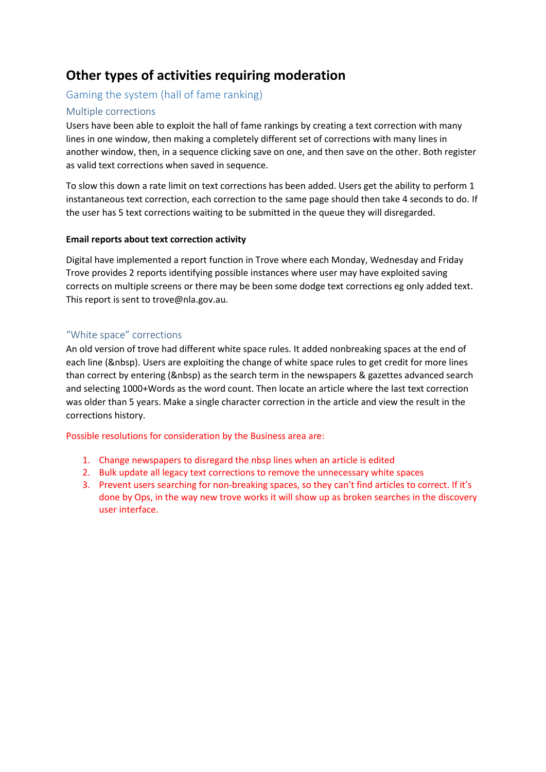# **Other types of activities requiring moderation**

## Gaming the system (hall of fame ranking)

## Multiple corrections

Users have been able to exploit the hall of fame rankings by creating a text correction with many lines in one window, then making a completely different set of corrections with many lines in another window, then, in a sequence clicking save on one, and then save on the other. Both register as valid text corrections when saved in sequence.

To slow this down a rate limit on text corrections has been added. Users get the ability to perform 1 instantaneous text correction, each correction to the same page should then take 4 seconds to do. If the user has 5 text corrections waiting to be submitted in the queue they will disregarded.

#### **Email reports about text correction activity**

Digital have implemented a report function in Trove where each Monday, Wednesday and Friday Trove provides 2 reports identifying possible instances where user may have exploited saving corrects on multiple screens or there may be been some dodge text corrections eg only added text. This report is sent to trove@nla.gov.au.

#### "White space" corrections

An old version of trove had different white space rules. It added nonbreaking spaces at the end of each line (&nbsp). Users are exploiting the change of white space rules to get credit for more lines than correct by entering (&nbsp) as the search term in the newspapers & gazettes advanced search and selecting 1000+Words as the word count. Then locate an article where the last text correction was older than 5 years. Make a single character correction in the article and view the result in the corrections history.

#### Possible resolutions for consideration by the Business area are:

- 1. Change newspapers to disregard the nbsp lines when an article is edited
- 2. Bulk update all legacy text corrections to remove the unnecessary white spaces
- 3. Prevent users searching for non-breaking spaces, so they can't find articles to correct. If it's done by Ops, in the way new trove works it will show up as broken searches in the discovery user interface.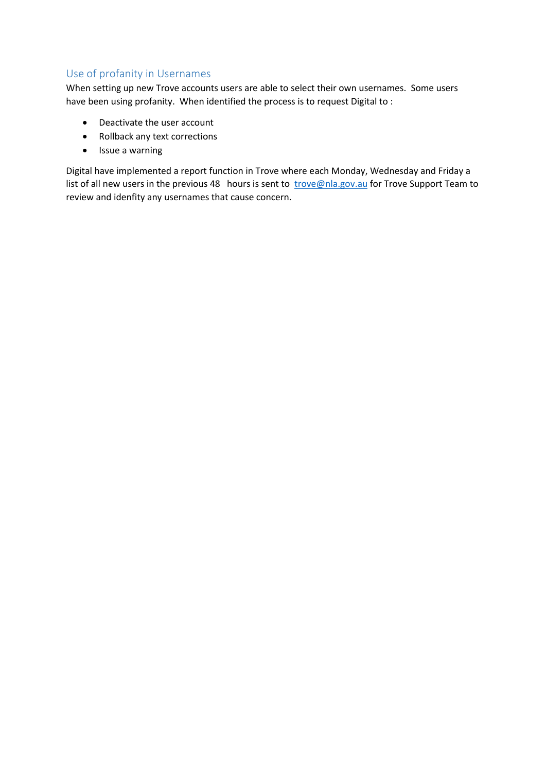## Use of profanity in Usernames

When setting up new Trove accounts users are able to select their own usernames. Some users have been using profanity. When identified the process is to request Digital to :

- Deactivate the user account
- Rollback any text corrections
- Issue a warning

Digital have implemented a report function in Trove where each Monday, Wednesday and Friday a list of all new users in the previous 48 hours is sent to [trove@nla.gov.au](mailto:trove@nla.gov.au) for Trove Support Team to review and idenfity any usernames that cause concern.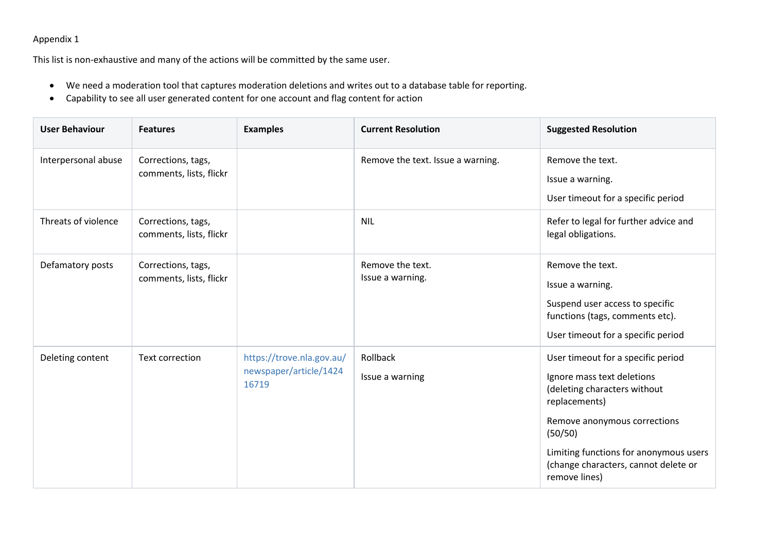## Appendix 1

This list is non-exhaustive and many of the actions will be committed by the same user.

- We need a moderation tool that captures moderation deletions and writes out to a database table for reporting.
- Capability to see all user generated content for one account and flag content for action

| <b>User Behaviour</b> | <b>Features</b>                               | <b>Examples</b>                                              | <b>Current Resolution</b>            | <b>Suggested Resolution</b>                                                                                                                                                                                                                                     |
|-----------------------|-----------------------------------------------|--------------------------------------------------------------|--------------------------------------|-----------------------------------------------------------------------------------------------------------------------------------------------------------------------------------------------------------------------------------------------------------------|
| Interpersonal abuse   | Corrections, tags,<br>comments, lists, flickr |                                                              | Remove the text. Issue a warning.    | Remove the text.<br>Issue a warning.<br>User timeout for a specific period                                                                                                                                                                                      |
| Threats of violence   | Corrections, tags,<br>comments, lists, flickr |                                                              | <b>NIL</b>                           | Refer to legal for further advice and<br>legal obligations.                                                                                                                                                                                                     |
| Defamatory posts      | Corrections, tags,<br>comments, lists, flickr |                                                              | Remove the text.<br>Issue a warning. | Remove the text.<br>Issue a warning.<br>Suspend user access to specific<br>functions (tags, comments etc).<br>User timeout for a specific period                                                                                                                |
| Deleting content      | Text correction                               | https://trove.nla.gov.au/<br>newspaper/article/1424<br>16719 | Rollback<br>Issue a warning          | User timeout for a specific period<br>Ignore mass text deletions<br>(deleting characters without<br>replacements)<br>Remove anonymous corrections<br>(50/50)<br>Limiting functions for anonymous users<br>(change characters, cannot delete or<br>remove lines) |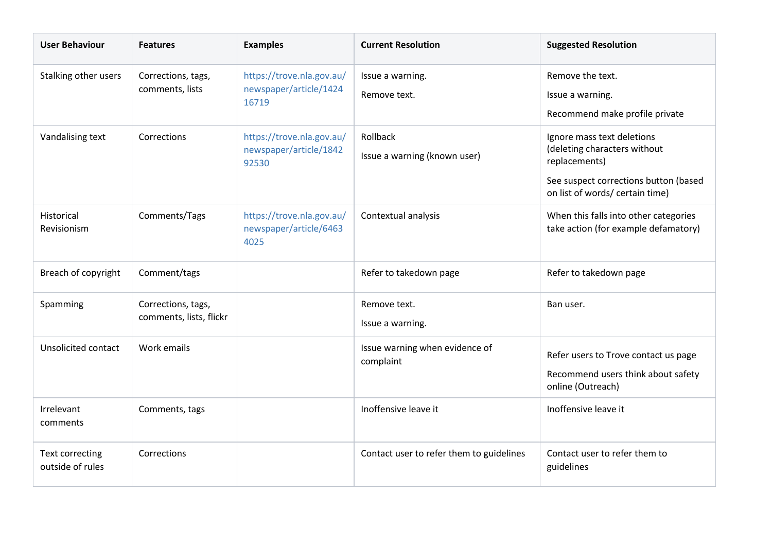| <b>User Behaviour</b>                      | <b>Features</b>                               | <b>Examples</b>                                              | <b>Current Resolution</b>                   | <b>Suggested Resolution</b>                                                                                                                             |
|--------------------------------------------|-----------------------------------------------|--------------------------------------------------------------|---------------------------------------------|---------------------------------------------------------------------------------------------------------------------------------------------------------|
| Stalking other users                       | Corrections, tags,<br>comments, lists         | https://trove.nla.gov.au/<br>newspaper/article/1424<br>16719 | Issue a warning.<br>Remove text.            | Remove the text.<br>Issue a warning.<br>Recommend make profile private                                                                                  |
| Vandalising text                           | Corrections                                   | https://trove.nla.gov.au/<br>newspaper/article/1842<br>92530 | Rollback<br>Issue a warning (known user)    | Ignore mass text deletions<br>(deleting characters without<br>replacements)<br>See suspect corrections button (based<br>on list of words/ certain time) |
| Historical<br>Revisionism                  | Comments/Tags                                 | https://trove.nla.gov.au/<br>newspaper/article/6463<br>4025  | Contextual analysis                         | When this falls into other categories<br>take action (for example defamatory)                                                                           |
| Breach of copyright                        | Comment/tags                                  |                                                              | Refer to takedown page                      | Refer to takedown page                                                                                                                                  |
| Spamming                                   | Corrections, tags,<br>comments, lists, flickr |                                                              | Remove text.<br>Issue a warning.            | Ban user.                                                                                                                                               |
| Unsolicited contact                        | Work emails                                   |                                                              | Issue warning when evidence of<br>complaint | Refer users to Trove contact us page<br>Recommend users think about safety<br>online (Outreach)                                                         |
| Irrelevant<br>comments                     | Comments, tags                                |                                                              | Inoffensive leave it                        | Inoffensive leave it                                                                                                                                    |
| <b>Text correcting</b><br>outside of rules | Corrections                                   |                                                              | Contact user to refer them to guidelines    | Contact user to refer them to<br>guidelines                                                                                                             |